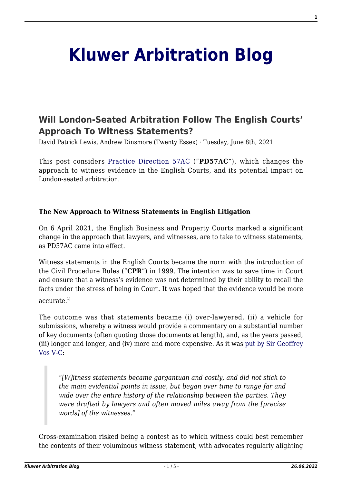# **[Kluwer Arbitration Blog](http://arbitrationblog.kluwerarbitration.com/)**

# **[Will London-Seated Arbitration Follow The English Courts'](http://arbitrationblog.kluwerarbitration.com/2021/06/08/will-london-seated-arbitration-follow-the-english-courts-approach-to-witness-statements/) [Approach To Witness Statements?](http://arbitrationblog.kluwerarbitration.com/2021/06/08/will-london-seated-arbitration-follow-the-english-courts-approach-to-witness-statements/)**

David Patrick Lewis, Andrew Dinsmore (Twenty Essex) · Tuesday, June 8th, 2021

This post considers [Practice Direction 57AC](https://www.justice.gov.uk/courts/procedure-rules/civil/rules/part-57a-business-and-property-courts/practice-direction-57ac-trial-witness-statements-in-the-business-and-property-courts) ("**PD57AC**"), which changes the approach to witness evidence in the English Courts, and its potential impact on London-seated arbitration.

### **The New Approach to Witness Statements in English Litigation**

On 6 April 2021, the English Business and Property Courts marked a significant change in the approach that lawyers, and witnesses, are to take to witness statements, as PD57AC came into effect.

Witness statements in the English Courts became the norm with the introduction of the Civil Procedure Rules ("**CPR**") in 1999. The intention was to save time in Court and ensure that a witness's evidence was not determined by their ability to recall the facts under the stress of being in Court. It was hoped that the evidence would be more

accurate $^{1)}$ 

The outcome was that statements became (i) over-lawyered, (ii) a vehicle for submissions, whereby a witness would provide a commentary on a substantial number of key documents (often quoting those documents at length), and, as the years passed, (iii) longer and longer, and (iv) more and more expensive. As it was [put by Sir Geoffrey](https://www.judiciary.uk/wp-content/uploads/2019/10/LawSocietyLitigationConference.9thOctober2019.f-1.pdf) [Vos V-C:](https://www.judiciary.uk/wp-content/uploads/2019/10/LawSocietyLitigationConference.9thOctober2019.f-1.pdf)

"*[W]itness statements became gargantuan and costly, and did not stick to the main evidential points in issue, but began over time to range far and wide over the entire history of the relationship between the parties. They were drafted by lawyers and often moved miles away from the [precise words] of the witnesses."*

Cross-examination risked being a contest as to which witness could best remember the contents of their voluminous witness statement, with advocates regularly alighting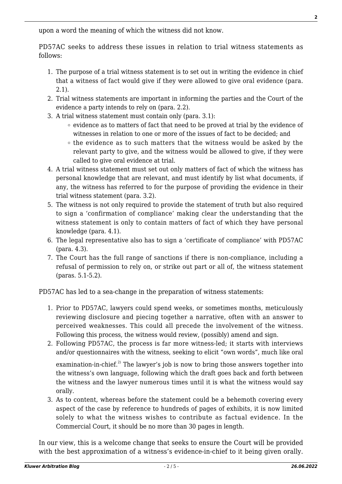upon a word the meaning of which the witness did not know.

PD57AC seeks to address these issues in relation to trial witness statements as follows:

- 1. The purpose of a trial witness statement is to set out in writing the evidence in chief that a witness of fact would give if they were allowed to give oral evidence (para. 2.1).
- 2. Trial witness statements are important in informing the parties and the Court of the evidence a party intends to rely on (para. 2.2).
- 3. A trial witness statement must contain only (para. 3.1):
	- $\circ$  evidence as to matters of fact that need to be proved at trial by the evidence of witnesses in relation to one or more of the issues of fact to be decided; and
	- $\circ$  the evidence as to such matters that the witness would be asked by the relevant party to give, and the witness would be allowed to give, if they were called to give oral evidence at trial.
- 4. A trial witness statement must set out only matters of fact of which the witness has personal knowledge that are relevant, and must identify by list what documents, if any, the witness has referred to for the purpose of providing the evidence in their trial witness statement (para. 3.2).
- 5. The witness is not only required to provide the statement of truth but also required to sign a 'confirmation of compliance' making clear the understanding that the witness statement is only to contain matters of fact of which they have personal knowledge (para. 4.1).
- 6. The legal representative also has to sign a 'certificate of compliance' with PD57AC (para. 4.3).
- 7. The Court has the full range of sanctions if there is non-compliance, including a refusal of permission to rely on, or strike out part or all of, the witness statement (paras. 5.1-5.2).

PD57AC has led to a sea-change in the preparation of witness statements:

- 1. Prior to PD57AC, lawyers could spend weeks, or sometimes months, meticulously reviewing disclosure and piecing together a narrative, often with an answer to perceived weaknesses. This could all precede the involvement of the witness. Following this process, the witness would review, (possibly) amend and sign.
- 2. Following PD57AC, the process is far more witness-led; it starts with interviews and/or questionnaires with the witness, seeking to elicit "own words", much like oral

examination-in-chief.<sup>2)</sup> The lawyer's job is now to bring those answers together into the witness's own language, following which the draft goes back and forth between the witness and the lawyer numerous times until it is what the witness would say orally.

3. As to content, whereas before the statement could be a behemoth covering every aspect of the case by reference to hundreds of pages of exhibits, it is now limited solely to what the witness wishes to contribute as factual evidence. In the Commercial Court, it should be no more than 30 pages in length.

In our view, this is a welcome change that seeks to ensure the Court will be provided with the best approximation of a witness's evidence-in-chief to it being given orally.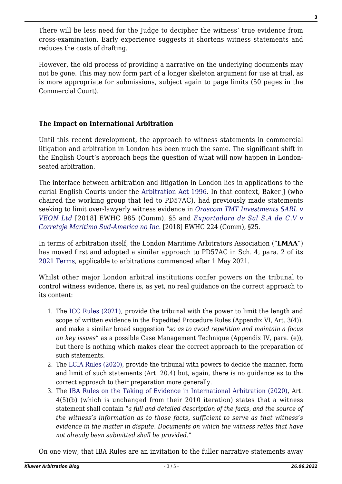There will be less need for the Judge to decipher the witness' true evidence from cross-examination. Early experience suggests it shortens witness statements and reduces the costs of drafting.

However, the old process of providing a narrative on the underlying documents may not be gone. This may now form part of a longer skeleton argument for use at trial, as is more appropriate for submissions, subject again to page limits (50 pages in the Commercial Court).

# **The Impact on International Arbitration**

Until this recent development, the approach to witness statements in commercial litigation and arbitration in London has been much the same. The significant shift in the English Court's approach begs the question of what will now happen in Londonseated arbitration.

The interface between arbitration and litigation in London lies in applications to the curial English Courts under the [Arbitration Act 1996](https://www.legislation.gov.uk/ukpga/1996/23/contents). In that context, Baker J (who chaired the working group that led to PD57AC), had previously made statements seeking to limit over-lawyerly witness evidence in *[Orascom TMT Investments SARL v](https://www.bailii.org/ew/cases/EWHC/Comm/2018/985.html) [VEON Ltd](https://www.bailii.org/ew/cases/EWHC/Comm/2018/985.html)* [2018] EWHC 985 (Comm), §5 and *[Exportadora de Sal S.A de C.V v](https://www.bailii.org/ew/cases/EWHC/Comm/2018/224.html) [Corretaje Maritimo Sud-America no Inc.](https://www.bailii.org/ew/cases/EWHC/Comm/2018/224.html)* [2018] EWHC 224 (Comm), §25.

In terms of arbitration itself, the London Maritime Arbitrators Association ("**LMAA**") has moved first and adopted a similar approach to PD57AC in Sch. 4, para. 2 of its [2021 Terms](https://lmaa.london/wp-content/uploads/2021/04/LMAA-Terms-2021.pdf), applicable to arbitrations commenced after 1 May 2021.

Whilst other major London arbitral institutions confer powers on the tribunal to control witness evidence, there is, as yet, no real guidance on the correct approach to its content:

- 1. The [ICC Rules \(2021\),](https://iccwbo.org/content/uploads/sites/3/2020/12/icc-2021-arbitration-rules-2014-mediation-rules-english-version.pdf) provide the tribunal with the power to limit the length and scope of written evidence in the Expedited Procedure Rules (Appendix VI, Art. 3(4)), and make a similar broad suggestion "*so as to avoid repetition and maintain a focus on key issues"* as a possible Case Management Technique (Appendix IV, para. (e)), but there is nothing which makes clear the correct approach to the preparation of such statements.
- 2. The [LCIA Rules \(2020\),](https://www.lcia.org/Dispute_Resolution_Services/lcia-arbitration-rules-2020.aspx) provide the tribunal with powers to decide the manner, form and limit of such statements (Art. 20.4) but, again, there is no guidance as to the correct approach to their preparation more generally.
- 3. The [IBA Rules on the Taking of Evidence in International Arbitration \(2020\),](https://www.ibanet.org/MediaHandler?id=def0807b-9fec-43ef-b624-f2cb2af7cf7b) Art. 4(5)(b) (which is unchanged from their 2010 iteration) states that a witness statement shall contain "*a full and detailed description of the facts, and the source of the witness's information as to those facts, sufficient to serve as that witness's evidence in the matter in dispute. Documents on which the witness relies that have not already been submitted shall be provided.*"

On one view, that IBA Rules are an invitation to the fuller narrative statements away

**3**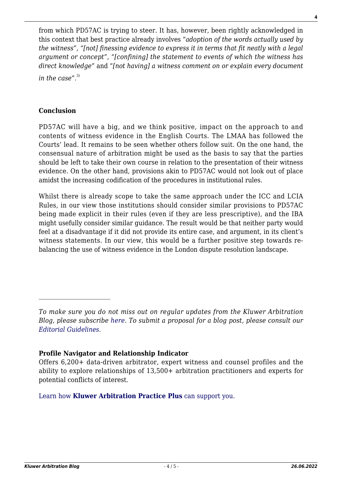from which PD57AC is trying to steer. It has, however, been rightly acknowledged in this context that best practice already involves "*adoption of the words actually used by the witness"*, *"[not] finessing evidence to express it in terms that fit neatly with a legal argument or concept"*, *"[confining] the statement to events of which the witness has direct knowledge"* and "*[not having] a witness comment on or explain every document*

*in the case".*3)

## **Conclusion**

PD57AC will have a big, and we think positive, impact on the approach to and contents of witness evidence in the English Courts. The LMAA has followed the Courts' lead. It remains to be seen whether others follow suit. On the one hand, the consensual nature of arbitration might be used as the basis to say that the parties should be left to take their own course in relation to the presentation of their witness evidence. On the other hand, provisions akin to PD57AC would not look out of place amidst the increasing codification of the procedures in institutional rules.

Whilst there is already scope to take the same approach under the ICC and LCIA Rules, in our view those institutions should consider similar provisions to PD57AC being made explicit in their rules (even if they are less prescriptive), and the IBA might usefully consider similar guidance. The result would be that neither party would feel at a disadvantage if it did not provide its entire case, and argument, in its client's witness statements. In our view, this would be a further positive step towards rebalancing the use of witness evidence in the London dispute resolution landscape.

### **Profile Navigator and Relationship Indicator**

[Learn how](https://www.wolterskluwer.com/en/solutions/kluwerarbitration/practiceplus?utm_source=arbitrationblog&utm_medium=articleCTA&utm_campaign=article-banner) **[Kluwer Arbitration Practice Plus](https://www.wolterskluwer.com/en/solutions/kluwerarbitration/practiceplus?utm_source=arbitrationblog&utm_medium=articleCTA&utm_campaign=article-banner)** [can support you.](https://www.wolterskluwer.com/en/solutions/kluwerarbitration/practiceplus?utm_source=arbitrationblog&utm_medium=articleCTA&utm_campaign=article-banner)

*To make sure you do not miss out on regular updates from the Kluwer Arbitration Blog, please subscribe [here](http://arbitrationblog.kluwerarbitration.com/newsletter/). To submit a proposal for a blog post, please consult our [Editorial Guidelines.](http://arbitrationblog.kluwerarbitration.com/editorial-guidelines/)*

Offers 6,200+ data-driven arbitrator, expert witness and counsel profiles and the ability to explore relationships of 13,500+ arbitration practitioners and experts for potential conflicts of interest.